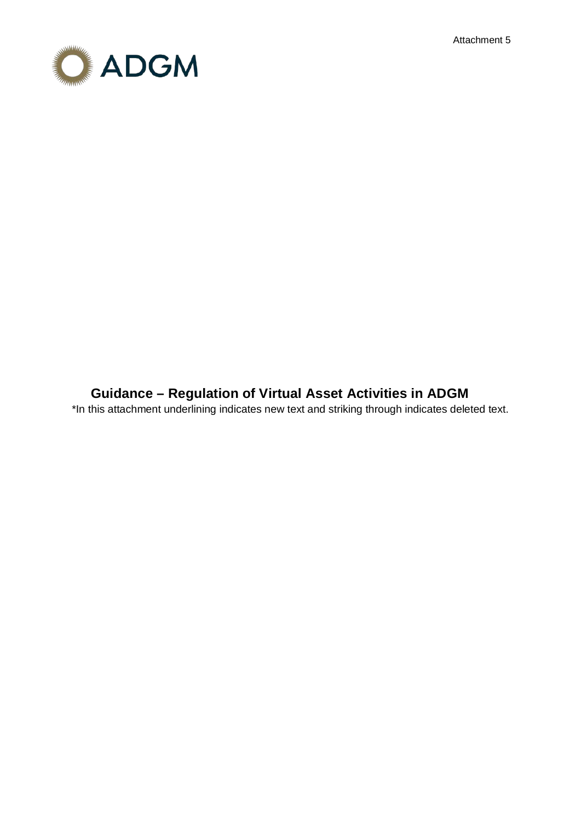Attachment 5



# **Guidance – Regulation of Virtual Asset Activities in ADGM**

\*In this attachment underlining indicates new text and striking through indicates deleted text.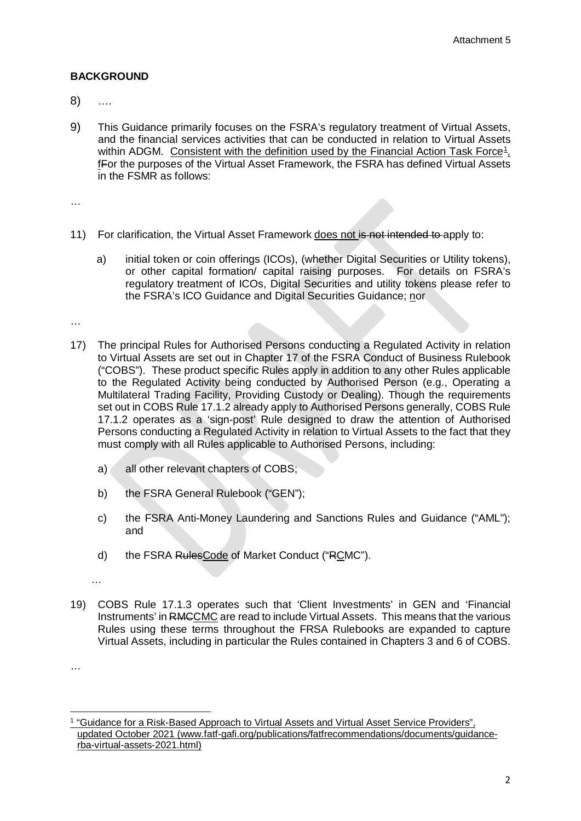# **BACKGROUND**

- 8) ….
- 9) This Guidance primarily focuses on the FSRA's regulatory treatment of Virtual Assets, and the financial services activities that can be conducted in relation to Virtual Assets within ADGM. Consistent with the definition used by the Financial Action Task Force<sup>[1](#page-1-0)</sup>, fFor the purposes of the Virtual Asset Framework, the FSRA has defined Virtual Assets in the FSMR as follows:

…

- 11) For clarification, the Virtual Asset Framework does not is not intended to apply to:
	- a) initial token or coin offerings (ICOs), (whether Digital Securities or Utility tokens), or other capital formation/ capital raising purposes. For details on FSRA's regulatory treatment of ICOs, Digital Securities and utility tokens please refer to the FSRA's ICO Guidance and Digital Securities Guidance; nor

…

- 17) The principal Rules for Authorised Persons conducting a Regulated Activity in relation to Virtual Assets are set out in Chapter 17 of the FSRA Conduct of Business Rulebook ("COBS"). These product specific Rules apply in addition to any other Rules applicable to the Regulated Activity being conducted by Authorised Person (e.g., Operating a Multilateral Trading Facility, Providing Custody or Dealing). Though the requirements set out in COBS Rule 17.1.2 already apply to Authorised Persons generally, COBS Rule 17.1.2 operates as a 'sign-post' Rule designed to draw the attention of Authorised Persons conducting a Regulated Activity in relation to Virtual Assets to the fact that they must comply with all Rules applicable to Authorised Persons, including:
	- a) all other relevant chapters of COBS;
	- b) the FSRA General Rulebook ("GEN");
	- c) the FSRA Anti-Money Laundering and Sanctions Rules and Guidance ("AML"); and
	- d) the FSRA RulesCode of Market Conduct ("RCMC").

…

19) COBS Rule 17.1.3 operates such that 'Client Investments' in GEN and 'Financial Instruments' in RMCCMC are read to include Virtual Assets. This means that the various Rules using these terms throughout the FRSA Rulebooks are expanded to capture Virtual Assets, including in particular the Rules contained in Chapters 3 and 6 of COBS.

…

**.** 

<span id="page-1-0"></span><sup>1</sup> "Guidance for a Risk-Based Approach to Virtual Assets and Virtual Asset Service Providers", updated October 2021 (www.fatf-gafi.org/publications/fatfrecommendations/documents/guidancerba-virtual-assets-2021.html)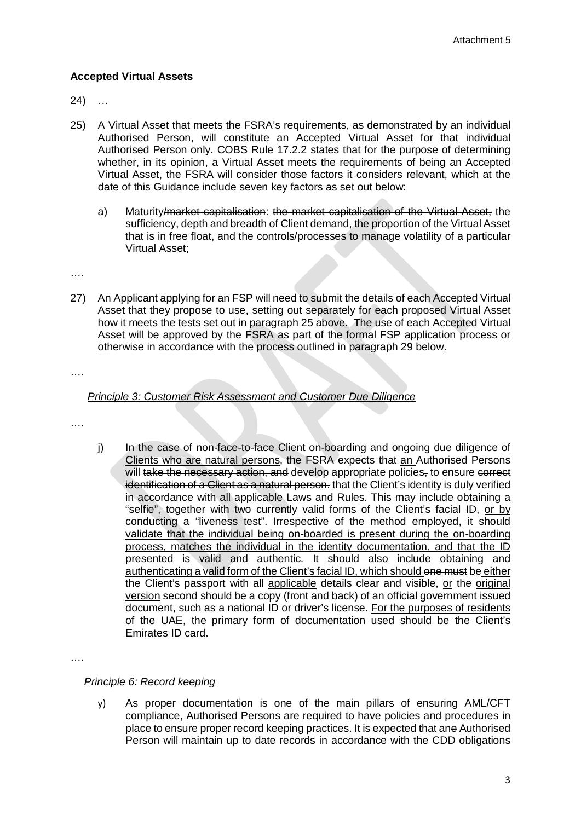# **Accepted Virtual Assets**

24) …

- 25) A Virtual Asset that meets the FSRA's requirements, as demonstrated by an individual Authorised Person, will constitute an Accepted Virtual Asset for that individual Authorised Person only. COBS Rule 17.2.2 states that for the purpose of determining whether, in its opinion, a Virtual Asset meets the requirements of being an Accepted Virtual Asset, the FSRA will consider those factors it considers relevant, which at the date of this Guidance include seven key factors as set out below:
	- a) Maturity/market capitalisation: the market capitalisation of the Virtual Asset, the sufficiency, depth and breadth of Client demand, the proportion of the Virtual Asset that is in free float, and the controls/processes to manage volatility of a particular Virtual Asset;

….

27) An Applicant applying for an FSP will need to submit the details of each Accepted Virtual Asset that they propose to use, setting out separately for each proposed Virtual Asset how it meets the tests set out in paragraph 25 above. The use of each Accepted Virtual Asset will be approved by the FSRA as part of the formal FSP application process or otherwise in accordance with the process outlined in paragraph 29 below.

….

## *Principle 3: Customer Risk Assessment and Customer Due Diligence*

- ….
- j) In the case of non-face-to-face Client on-boarding and ongoing due diligence of Clients who are natural persons, the FSRA expects that an Authorised Persons will take the necessary action, and develop appropriate policies, to ensure correct identification of a Client as a natural person. that the Client's identity is duly verified in accordance with all applicable Laws and Rules. This may include obtaining a "selfie", together with two currently valid forms of the Client's facial ID, or by conducting a "liveness test". Irrespective of the method employed, it should validate that the individual being on-boarded is present during the on-boarding process, matches the individual in the identity documentation, and that the ID presented is valid and authentic. It should also include obtaining and authenticating a valid form of the Client's facial ID, which should one must be either the Client's passport with all applicable details clear and visible, or the original version second should be a copy (front and back) of an official government issued document, such as a national ID or driver's license. For the purposes of residents of the UAE, the primary form of documentation used should be the Client's Emirates ID card.

….

## *Principle 6: Record keeping*

y) As proper documentation is one of the main pillars of ensuring AML/CFT compliance, Authorised Persons are required to have policies and procedures in place to ensure proper record keeping practices. It is expected that ane Authorised Person will maintain up to date records in accordance with the CDD obligations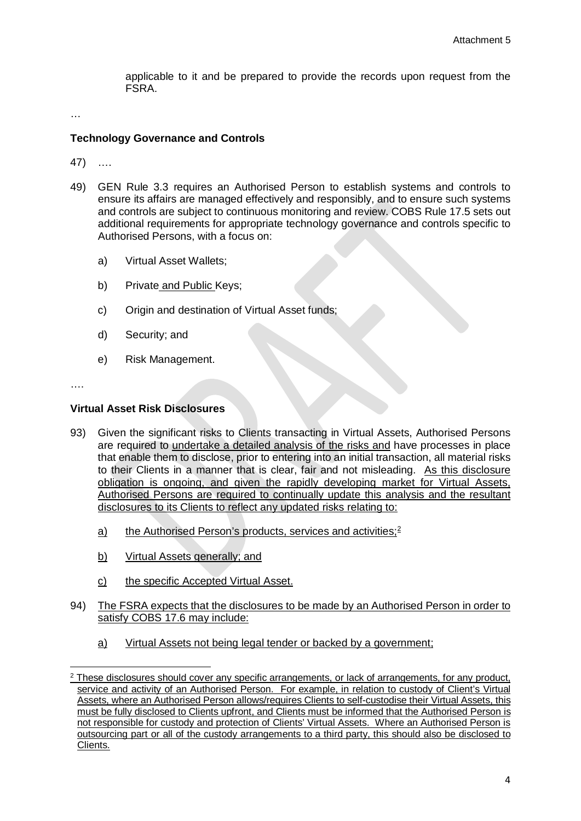applicable to it and be prepared to provide the records upon request from the **FSRA** 

…

## **Technology Governance and Controls**

47) ….

- 49) GEN Rule 3.3 requires an Authorised Person to establish systems and controls to ensure its affairs are managed effectively and responsibly, and to ensure such systems and controls are subject to continuous monitoring and review. COBS Rule 17.5 sets out additional requirements for appropriate technology governance and controls specific to Authorised Persons, with a focus on:
	- a) Virtual Asset Wallets;
	- b) Private and Public Keys;
	- c) Origin and destination of Virtual Asset funds;
	- d) Security; and
	- e) Risk Management.

….

**.** 

## **Virtual Asset Risk Disclosures**

- 93) Given the significant risks to Clients transacting in Virtual Assets, Authorised Persons are required to undertake a detailed analysis of the risks and have processes in place that enable them to disclose, prior to entering into an initial transaction, all material risks to their Clients in a manner that is clear, fair and not misleading. As this disclosure obligation is ongoing, and given the rapidly developing market for Virtual Assets, Authorised Persons are required to continually update this analysis and the resultant disclosures to its Clients to reflect any updated risks relating to:
	- a) the Authorised Person's products, services and activities;<sup>[2](#page-3-0)</sup>
	- b) Virtual Assets generally; and
	- c) the specific Accepted Virtual Asset.
- 94) The FSRA expects that the disclosures to be made by an Authorised Person in order to satisfy COBS 17.6 may include:
	- a) Virtual Assets not being legal tender or backed by a government;

<span id="page-3-0"></span> $2$  These disclosures should cover any specific arrangements, or lack of arrangements, for any product, service and activity of an Authorised Person. For example, in relation to custody of Client's Virtual Assets, where an Authorised Person allows/requires Clients to self-custodise their Virtual Assets, this must be fully disclosed to Clients upfront, and Clients must be informed that the Authorised Person is not responsible for custody and protection of Clients' Virtual Assets. Where an Authorised Person is outsourcing part or all of the custody arrangements to a third party, this should also be disclosed to Clients.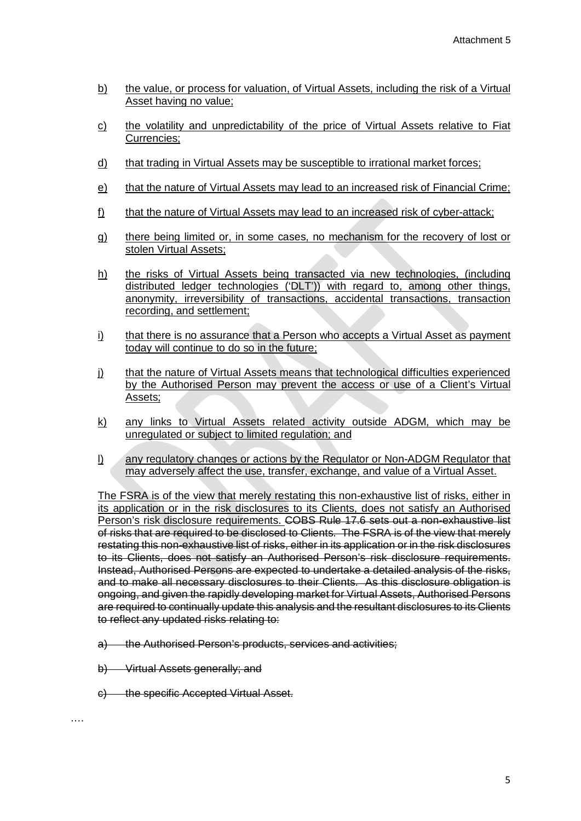- b) the value, or process for valuation, of Virtual Assets, including the risk of a Virtual Asset having no value;
- c) the volatility and unpredictability of the price of Virtual Assets relative to Fiat Currencies;
- d) that trading in Virtual Assets may be susceptible to irrational market forces;
- e) that the nature of Virtual Assets may lead to an increased risk of Financial Crime;
- f) that the nature of Virtual Assets may lead to an increased risk of cyber-attack;
- g) there being limited or, in some cases, no mechanism for the recovery of lost or stolen Virtual Assets;
- h) the risks of Virtual Assets being transacted via new technologies, (including distributed ledger technologies ('DLT')) with regard to, among other things, anonymity, irreversibility of transactions, accidental transactions, transaction recording, and settlement;
- i) that there is no assurance that a Person who accepts a Virtual Asset as payment today will continue to do so in the future;
- j) that the nature of Virtual Assets means that technological difficulties experienced by the Authorised Person may prevent the access or use of a Client's Virtual Assets;
- k) any links to Virtual Assets related activity outside ADGM, which may be unregulated or subject to limited regulation; and
- l) any regulatory changes or actions by the Regulator or Non-ADGM Regulator that may adversely affect the use, transfer, exchange, and value of a Virtual Asset.

The FSRA is of the view that merely restating this non-exhaustive list of risks, either in its application or in the risk disclosures to its Clients, does not satisfy an Authorised Person's risk disclosure requirements. COBS Rule 17.6 sets out a non-exhaustive list of risks that are required to be disclosed to Clients. The FSRA is of the view that merely restating this non-exhaustive list of risks, either in its application or in the risk disclosures to its Clients, does not satisfy an Authorised Person's risk disclosure requirements. Instead, Authorised Persons are expected to undertake a detailed analysis of the risks, and to make all necessary disclosures to their Clients. As this disclosure obligation is ongoing, and given the rapidly developing market for Virtual Assets, Authorised Persons are required to continually update this analysis and the resultant disclosures to its Clients to reflect any updated risks relating to:

- a) the Authorised Person's products, services and activities;
- b) Virtual Assets generally; and
- c) the specific Accepted Virtual Asset.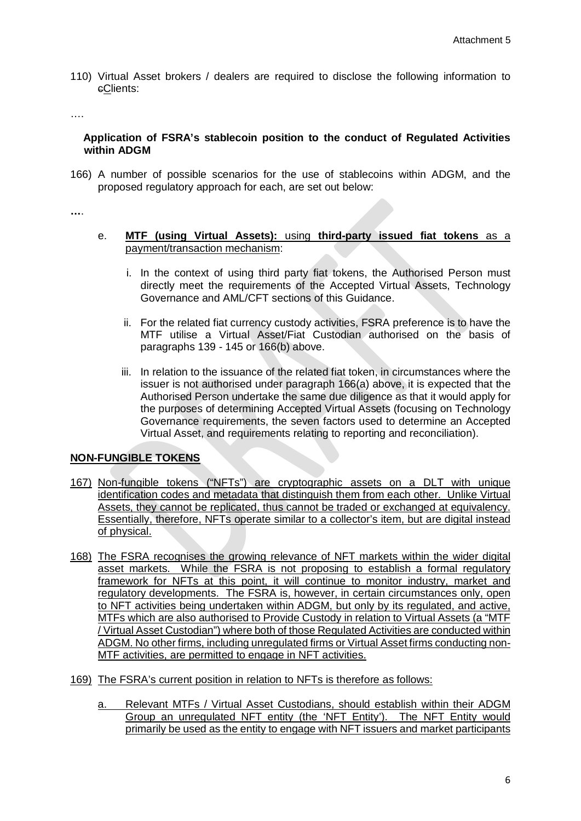110) Virtual Asset brokers / dealers are required to disclose the following information to cClients:

….

## **Application of FSRA's stablecoin position to the conduct of Regulated Activities within ADGM**

166) A number of possible scenarios for the use of stablecoins within ADGM, and the proposed regulatory approach for each, are set out below:

**…**.

- e. **MTF (using Virtual Assets):** using **third-party issued fiat tokens** as a payment/transaction mechanism:
	- i. In the context of using third party fiat tokens, the Authorised Person must directly meet the requirements of the Accepted Virtual Assets, Technology Governance and AML/CFT sections of this Guidance.
	- ii. For the related fiat currency custody activities, FSRA preference is to have the MTF utilise a Virtual Asset/Fiat Custodian authorised on the basis of paragraphs 139 - 145 or 166(b) above.
	- iii. In relation to the issuance of the related fiat token, in circumstances where the issuer is not authorised under paragraph 166(a) above, it is expected that the Authorised Person undertake the same due diligence as that it would apply for the purposes of determining Accepted Virtual Assets (focusing on Technology Governance requirements, the seven factors used to determine an Accepted Virtual Asset, and requirements relating to reporting and reconciliation).

## **NON-FUNGIBLE TOKENS**

- 167) Non-fungible tokens ("NFTs") are cryptographic assets on a DLT with unique identification codes and metadata that distinguish them from each other. Unlike Virtual Assets, they cannot be replicated, thus cannot be traded or exchanged at equivalency. Essentially, therefore, NFTs operate similar to a collector's item, but are digital instead of physical.
- 168) The FSRA recognises the growing relevance of NFT markets within the wider digital asset markets. While the FSRA is not proposing to establish a formal regulatory framework for NFTs at this point, it will continue to monitor industry, market and regulatory developments. The FSRA is, however, in certain circumstances only, open to NFT activities being undertaken within ADGM, but only by its regulated, and active, MTFs which are also authorised to Provide Custody in relation to Virtual Assets (a "MTF / Virtual Asset Custodian") where both of those Regulated Activities are conducted within ADGM. No other firms, including unregulated firms or Virtual Asset firms conducting non-MTF activities, are permitted to engage in NFT activities.
- 169) The FSRA's current position in relation to NFTs is therefore as follows:
	- a. Relevant MTFs / Virtual Asset Custodians, should establish within their ADGM Group an unregulated NFT entity (the 'NFT Entity'). The NFT Entity would primarily be used as the entity to engage with NFT issuers and market participants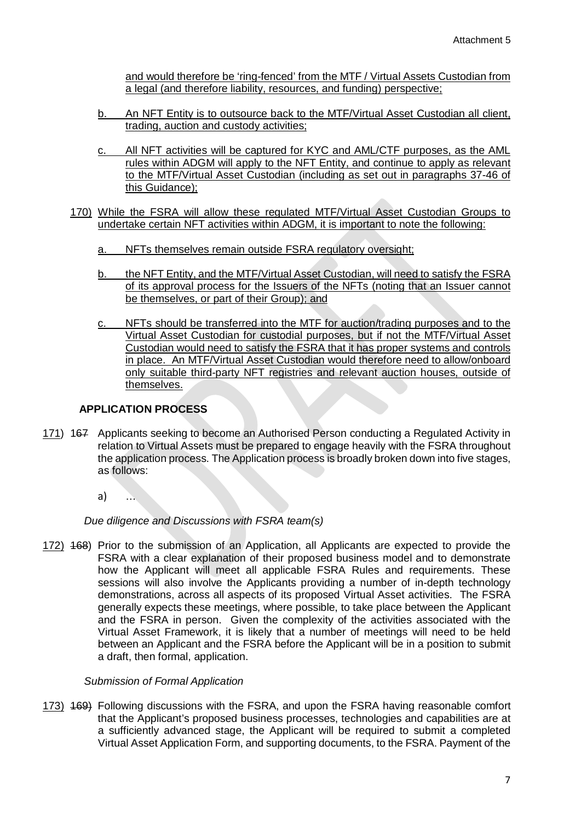and would therefore be 'ring-fenced' from the MTF / Virtual Assets Custodian from a legal (and therefore liability, resources, and funding) perspective;

- b. An NFT Entity is to outsource back to the MTF/Virtual Asset Custodian all client, trading, auction and custody activities;
- c. All NFT activities will be captured for KYC and AML/CTF purposes, as the AML rules within ADGM will apply to the NFT Entity, and continue to apply as relevant to the MTF/Virtual Asset Custodian (including as set out in paragraphs 37-46 of this Guidance);
- 170) While the FSRA will allow these regulated MTF/Virtual Asset Custodian Groups to undertake certain NFT activities within ADGM, it is important to note the following:
	- a. NFTs themselves remain outside FSRA regulatory oversight;
	- b. the NFT Entity, and the MTF/Virtual Asset Custodian, will need to satisfy the FSRA of its approval process for the Issuers of the NFTs (noting that an Issuer cannot be themselves, or part of their Group); and
	- c. NFTs should be transferred into the MTF for auction/trading purposes and to the Virtual Asset Custodian for custodial purposes, but if not the MTF/Virtual Asset Custodian would need to satisfy the FSRA that it has proper systems and controls in place. An MTF/Virtual Asset Custodian would therefore need to allow/onboard only suitable third-party NFT registries and relevant auction houses, outside of themselves.

## **APPLICATION PROCESS**

- 171) 167 Applicants seeking to become an Authorised Person conducting a Regulated Activity in relation to Virtual Assets must be prepared to engage heavily with the FSRA throughout the application process. The Application process is broadly broken down into five stages, as follows:
	- a) …

*Due diligence and Discussions with FSRA team(s)*

172) 168) Prior to the submission of an Application, all Applicants are expected to provide the FSRA with a clear explanation of their proposed business model and to demonstrate how the Applicant will meet all applicable FSRA Rules and requirements. These sessions will also involve the Applicants providing a number of in-depth technology demonstrations, across all aspects of its proposed Virtual Asset activities. The FSRA generally expects these meetings, where possible, to take place between the Applicant and the FSRA in person. Given the complexity of the activities associated with the Virtual Asset Framework, it is likely that a number of meetings will need to be held between an Applicant and the FSRA before the Applicant will be in a position to submit a draft, then formal, application.

## *Submission of Formal Application*

173) 469) Following discussions with the FSRA, and upon the FSRA having reasonable comfort that the Applicant's proposed business processes, technologies and capabilities are at a sufficiently advanced stage, the Applicant will be required to submit a completed Virtual Asset Application Form, and supporting documents, to the FSRA. Payment of the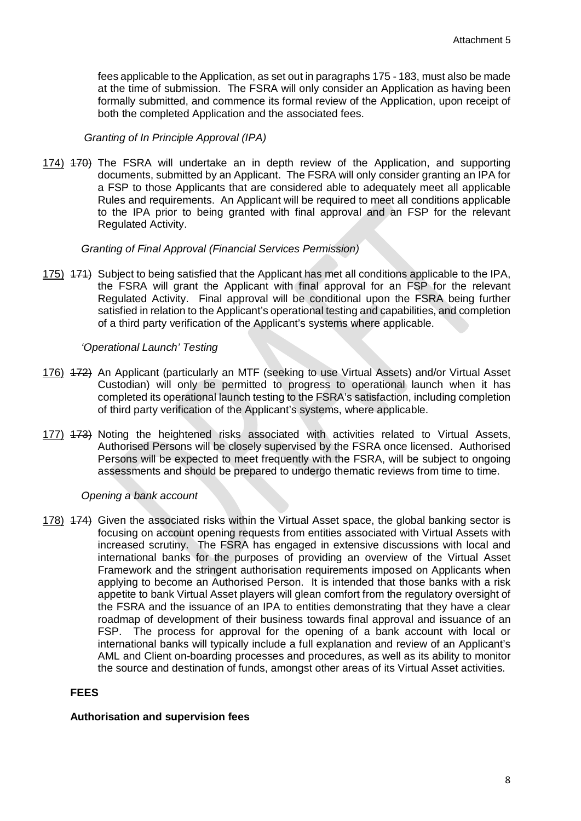fees applicable to the Application, as set out in paragraphs 175 - 183, must also be made at the time of submission. The FSRA will only consider an Application as having been formally submitted, and commence its formal review of the Application, upon receipt of both the completed Application and the associated fees.

### *Granting of In Principle Approval (IPA)*

174) 470) The FSRA will undertake an in depth review of the Application, and supporting documents, submitted by an Applicant. The FSRA will only consider granting an IPA for a FSP to those Applicants that are considered able to adequately meet all applicable Rules and requirements. An Applicant will be required to meet all conditions applicable to the IPA prior to being granted with final approval and an FSP for the relevant Regulated Activity.

#### *Granting of Final Approval (Financial Services Permission)*

175) 174) Subject to being satisfied that the Applicant has met all conditions applicable to the IPA, the FSRA will grant the Applicant with final approval for an FSP for the relevant Regulated Activity. Final approval will be conditional upon the FSRA being further satisfied in relation to the Applicant's operational testing and capabilities, and completion of a third party verification of the Applicant's systems where applicable.

#### *'Operational Launch' Testing*

- 176) 172) An Applicant (particularly an MTF (seeking to use Virtual Assets) and/or Virtual Asset Custodian) will only be permitted to progress to operational launch when it has completed its operational launch testing to the FSRA's satisfaction, including completion of third party verification of the Applicant's systems, where applicable.
- 177) 173) Noting the heightened risks associated with activities related to Virtual Assets, Authorised Persons will be closely supervised by the FSRA once licensed. Authorised Persons will be expected to meet frequently with the FSRA, will be subject to ongoing assessments and should be prepared to undergo thematic reviews from time to time.

#### *Opening a bank account*

178) 174) Given the associated risks within the Virtual Asset space, the global banking sector is focusing on account opening requests from entities associated with Virtual Assets with increased scrutiny. The FSRA has engaged in extensive discussions with local and international banks for the purposes of providing an overview of the Virtual Asset Framework and the stringent authorisation requirements imposed on Applicants when applying to become an Authorised Person. It is intended that those banks with a risk appetite to bank Virtual Asset players will glean comfort from the regulatory oversight of the FSRA and the issuance of an IPA to entities demonstrating that they have a clear roadmap of development of their business towards final approval and issuance of an FSP. The process for approval for the opening of a bank account with local or international banks will typically include a full explanation and review of an Applicant's AML and Client on-boarding processes and procedures, as well as its ability to monitor the source and destination of funds, amongst other areas of its Virtual Asset activities.

## **FEES**

#### **Authorisation and supervision fees**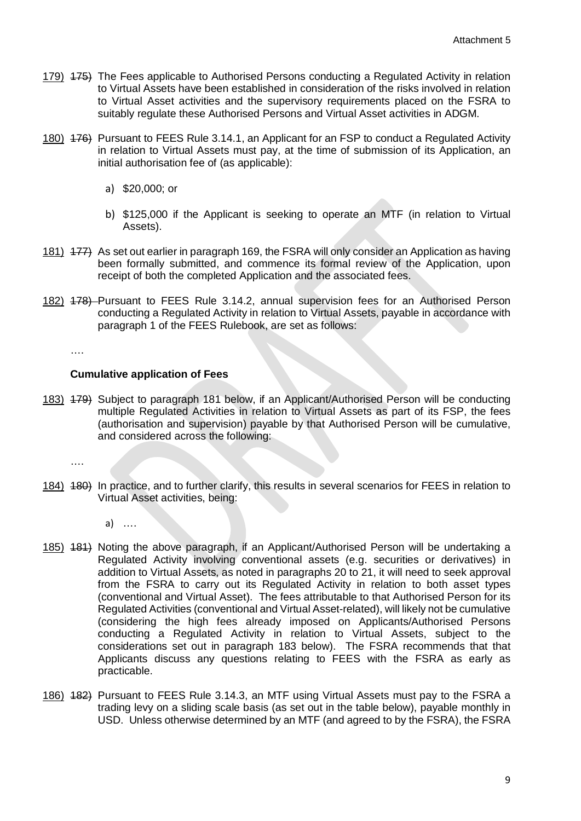- 179) <del>175)</del> The Fees applicable to Authorised Persons conducting a Regulated Activity in relation to Virtual Assets have been established in consideration of the risks involved in relation to Virtual Asset activities and the supervisory requirements placed on the FSRA to suitably regulate these Authorised Persons and Virtual Asset activities in ADGM.
- 180) 476) Pursuant to FEES Rule 3.14.1, an Applicant for an FSP to conduct a Regulated Activity in relation to Virtual Assets must pay, at the time of submission of its Application, an initial authorisation fee of (as applicable):
	- a) \$20,000; or
	- b) \$125,000 if the Applicant is seeking to operate an MTF (in relation to Virtual Assets).
- 181) 177) As set out earlier in paragraph 169, the FSRA will only consider an Application as having been formally submitted, and commence its formal review of the Application, upon receipt of both the completed Application and the associated fees.
- 182) 178) Pursuant to FEES Rule 3.14.2, annual supervision fees for an Authorised Person conducting a Regulated Activity in relation to Virtual Assets, payable in accordance with paragraph 1 of the FEES Rulebook, are set as follows:

….

### **Cumulative application of Fees**

183) 179) Subject to paragraph 181 below, if an Applicant/Authorised Person will be conducting multiple Regulated Activities in relation to Virtual Assets as part of its FSP, the fees (authorisation and supervision) payable by that Authorised Person will be cumulative, and considered across the following:

….

184) 180) In practice, and to further clarify, this results in several scenarios for FEES in relation to Virtual Asset activities, being:

a) ….

- 185) 481) Noting the above paragraph, if an Applicant/Authorised Person will be undertaking a Regulated Activity involving conventional assets (e.g. securities or derivatives) in addition to Virtual Assets, as noted in paragraphs 20 to 21, it will need to seek approval from the FSRA to carry out its Regulated Activity in relation to both asset types (conventional and Virtual Asset). The fees attributable to that Authorised Person for its Regulated Activities (conventional and Virtual Asset-related), will likely not be cumulative (considering the high fees already imposed on Applicants/Authorised Persons conducting a Regulated Activity in relation to Virtual Assets, subject to the considerations set out in paragraph 183 below). The FSRA recommends that that Applicants discuss any questions relating to FEES with the FSRA as early as practicable.
- 186) 182) Pursuant to FEES Rule 3.14.3, an MTF using Virtual Assets must pay to the FSRA a trading levy on a sliding scale basis (as set out in the table below), payable monthly in USD. Unless otherwise determined by an MTF (and agreed to by the FSRA), the FSRA